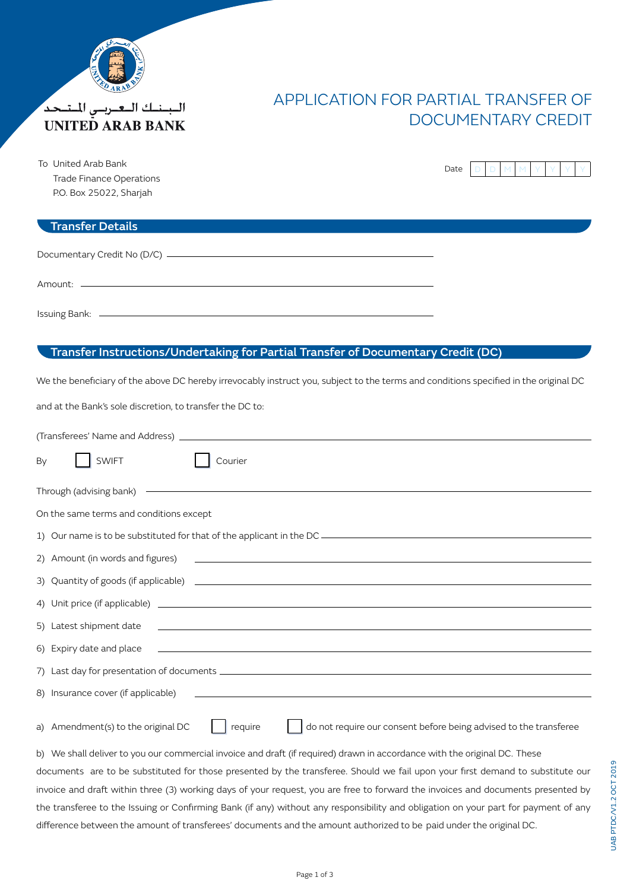

الببنك البعيريس المتحد **UNITED ARAB BANK** 

# APPLICATION FOR PARTIAL TRANSFER OF DOCUMENTARY CREDIT

To United Arab Bank Trade Finance Operations P.O. Box 25022, Shariah

# Date

#### Transfer Details

### Transfer Instructions/Undertaking for Partial Transfer of Documentary Credit (DC)

We the beneficiary of the above DC hereby irrevocably instruct you, subject to the terms and conditions specified in the original DC

and at the Bank's sole discretion, to transfer the DC to:

| <b>SWIFT</b><br>Courier<br>By                                                                                                                                                                                                        |  |  |  |  |  |  |
|--------------------------------------------------------------------------------------------------------------------------------------------------------------------------------------------------------------------------------------|--|--|--|--|--|--|
| Through (advising bank) <b>Contract Contract Contract Contract Contract Contract Contract Contract Contract Contract Contract Contract Contract Contract Contract Contract Contract Contract Contract Contract Contract Contract</b> |  |  |  |  |  |  |
| On the same terms and conditions except                                                                                                                                                                                              |  |  |  |  |  |  |
|                                                                                                                                                                                                                                      |  |  |  |  |  |  |
| 2) Amount (in words and figures) 2008 Contract and the set of the set of the set of the set of the set of the set of the set of the set of the set of the set of the set of the set of the set of the set of the set of the se       |  |  |  |  |  |  |
|                                                                                                                                                                                                                                      |  |  |  |  |  |  |
|                                                                                                                                                                                                                                      |  |  |  |  |  |  |
|                                                                                                                                                                                                                                      |  |  |  |  |  |  |
|                                                                                                                                                                                                                                      |  |  |  |  |  |  |
|                                                                                                                                                                                                                                      |  |  |  |  |  |  |
|                                                                                                                                                                                                                                      |  |  |  |  |  |  |
| do not require our consent before being advised to the transferee<br>a) Amendment(s) to the original DC<br>require                                                                                                                   |  |  |  |  |  |  |
| b) We shall deliver to you our commercial invoice and draft (if required) drawn in accordance with the eriginal DC. These                                                                                                            |  |  |  |  |  |  |

b) We shall deliver to you our commercial invoice and draft (if required) drawn in accordance with the original DC. These documents are to be substituted for those presented by the transferee. Should we fail upon your first demand to substitute our invoice and draft within three (3) working days of your request, you are free to forward the invoices and documents presented by the transferee to the Issuing or Confirming Bank (if any) without any responsibility and obligation on your part for payment of any difference between the amount of transferees' documents and the amount authorized to be paid under the original DC.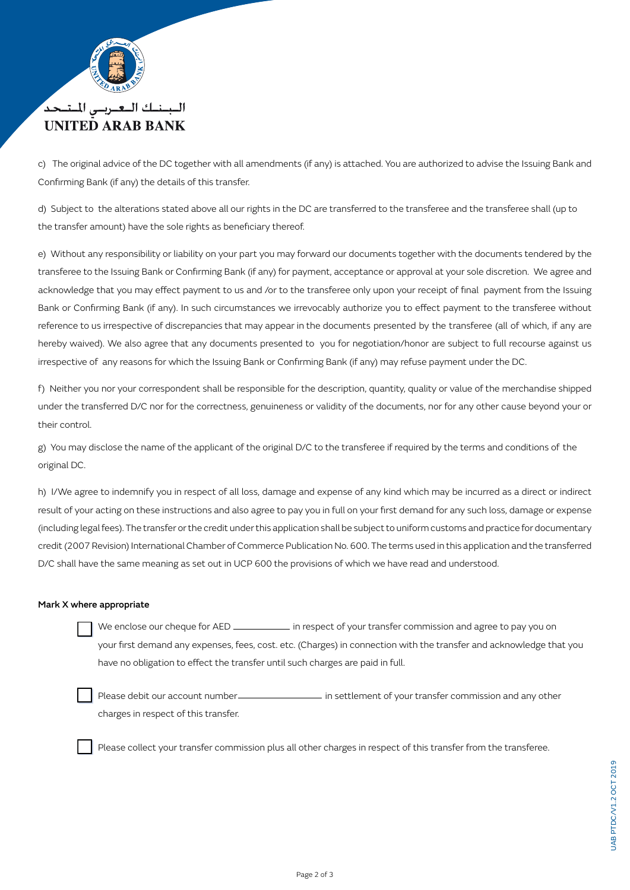

## البينيك التعيريين المتبحد **UNITED ARAB BANK**

c) The original advice of the DC together with all amendments (if any) is attached. You are authorized to advise the Issuing Bank and Confirming Bank (if any) the details of this transfer.

d) Subject to the alterations stated above all our rights in the DC are transferred to the transferee and the transferee shall (up to the transfer amount) have the sole rights as beneficiary thereof.

e) Without any responsibility or liability on your part you may forward our documents together with the documents tendered by the transferee to the Issuing Bank or Confirming Bank (if any) for payment, acceptance or approval at your sole discretion. We agree and acknowledge that you may effect payment to us and /or to the transferee only upon your receipt of final payment from the Issuing Bank or Confirming Bank (if any). In such circumstances we irrevocably authorize you to effect payment to the transferee without reference to us irrespective of discrepancies that may appear in the documents presented by the transferee (all of which, if any are hereby waived). We also agree that any documents presented to you for negotiation/honor are subject to full recourse against us irrespective of any reasons for which the Issuing Bank or Confirming Bank (if any) may refuse payment under the DC.

f) Neither you nor your correspondent shall be responsible for the description, quantity, quality or value of the merchandise shipped under the transferred D/C nor for the correctness, genuineness or validity of the documents, nor for any other cause beyond your or their control.

g) You may disclose the name of the applicant of the original D/C to the transferee if required by the terms and conditions of the original DC.

h) I/We agree to indemnify you in respect of all loss, damage and expense of any kind which may be incurred as a direct or indirect result of your acting on these instructions and also agree to pay you in full on your first demand for any such loss, damage or expense (including legal fees). The transfer or the credit under this application shall be subject to uniform customs and practice for documentary credit (2007 Revision) International Chamber of Commerce Publication No. 600. The terms used in this application and the transferred D/C shall have the same meaning as set out in UCP 600 the provisions of which we have read and understood.

#### Mark X where appropriate

We enclose our cheque for AED in respect of your transfer commission and agree to pay you on your first demand any expenses, fees, cost. etc. (Charges) in connection with the transfer and acknowledge that you have no obligation to effect the transfer until such charges are paid in full.

Please debit our account number in settlement of your transfer commission and any other charges in respect of this transfer.

Please collect your transfer commission plus all other charges in respect of this transfer from the transferee.